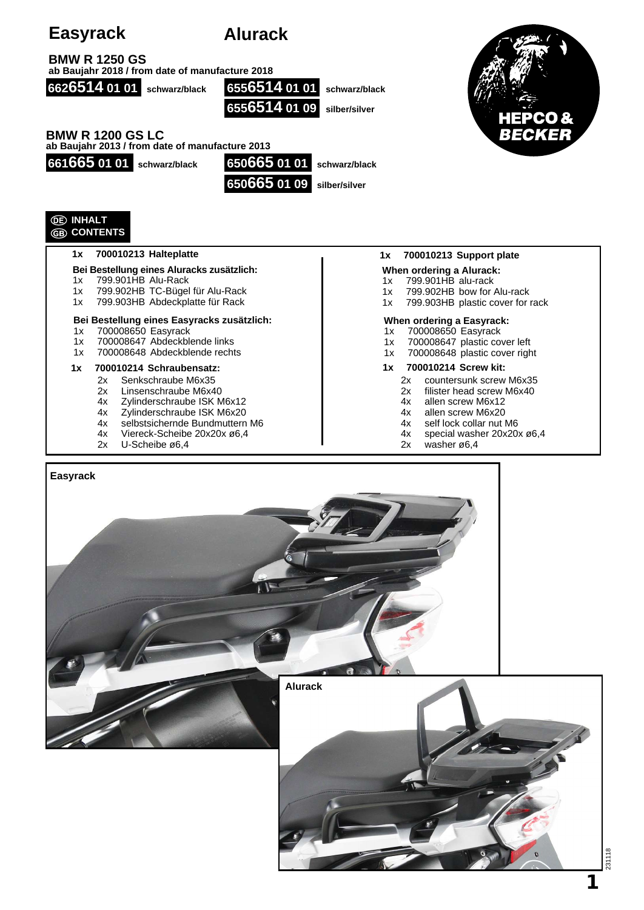| <b>Easyrack</b>                                                                                                                                         | <b>Alurack</b>                                             |                                                                                                                                    |
|---------------------------------------------------------------------------------------------------------------------------------------------------------|------------------------------------------------------------|------------------------------------------------------------------------------------------------------------------------------------|
| <b>BMW R 1250 GS</b><br>ab Baujahr 2018 / from date of manufacture 2018                                                                                 |                                                            |                                                                                                                                    |
| 6626514 01 01 schwarz/black                                                                                                                             | 6556514 01 01 schwarz/black<br>6556514 01 09 silber/silver | CO &                                                                                                                               |
| <b>BMW R 1200 GS LC</b><br>ab Baujahr 2013 / from date of manufacture 2013                                                                              |                                                            | BECKER                                                                                                                             |
| 661665 01 01 schwarz/black                                                                                                                              | 650665 01 01                                               | schwarz/black                                                                                                                      |
|                                                                                                                                                         | 650665 01 09 silber/silver                                 |                                                                                                                                    |
| <b>DE INHALT</b><br><b>GB CONTENTS</b>                                                                                                                  |                                                            |                                                                                                                                    |
| 700010213 Halteplatte<br>1x                                                                                                                             |                                                            | 700010213 Support plate<br>1x                                                                                                      |
| Bei Bestellung eines Aluracks zusätzlich:<br>799.901HB Alu-Rack<br>1x<br>799.902HB TC-Bügel für Alu-Rack<br>1x<br>799.903HB Abdeckplatte für Rack<br>1x |                                                            | When ordering a Alurack:<br>799.901HB alu-rack<br>1x<br>799.902HB bow for Alu-rack<br>1x<br>799.903HB plastic cover for rack<br>1x |
| Bei Bestellung eines Easyracks zusätzlich:<br>700008650 Easyrack<br>1x<br>700008647 Abdeckblende links<br>1x<br>700008648 Abdeckblende rechts<br>1x     |                                                            | When ordering a Easyrack:<br>700008650 Easyrack<br>1x<br>700008647 plastic cover left<br>1x<br>700008648 plastic cover right<br>1x |
| 700010214 Schraubensatz:<br>1x<br>Senkschraube M6x35<br>2x<br>2x<br>Linsenschraube M6x40                                                                |                                                            | 700010214 Screw kit:<br>1x<br>countersunk screw M6x35<br>2x<br>2x<br>filister head screw M6x40                                     |

- 2x Linsenschraube M6x40
- 4x Zylinderschraube ISK M6x12
- 4x Zylinderschraube ISK M6x20
- 4x selbstsichernde Bundmuttern M6
- 4x Viereck-Scheibe 20x20x ø6,4
- 2x U-Scheibe ø6,4
- 2x filister head screw M6x40
- 4x allen screw M6x12
- 4x allen screw M6x20
- 4x self lock collar nut M6
- 4x special washer 20x20x ø6,4
- 2x washer ø6,4



231118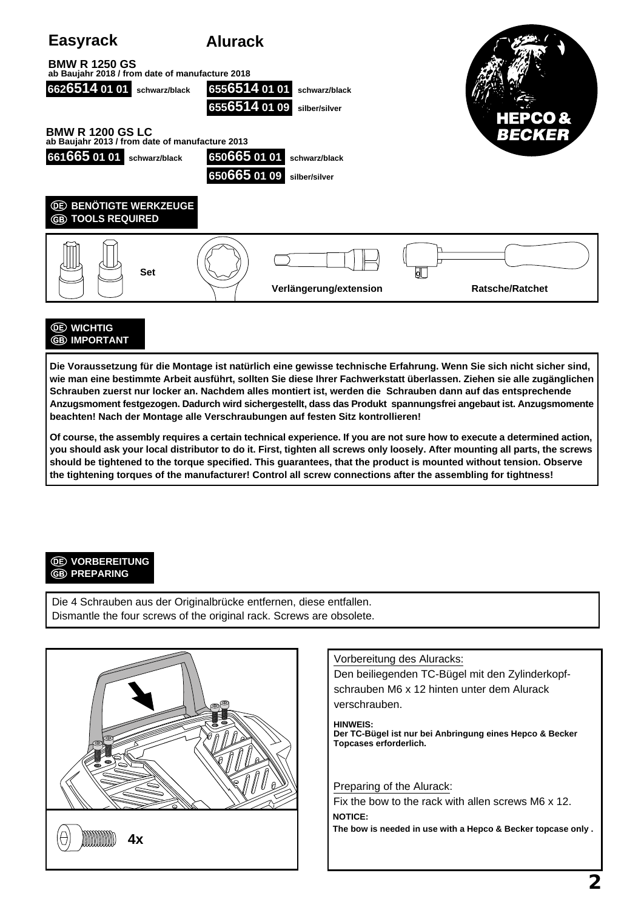

## **WICHTIG GB** IMPORTANT

**Die Voraussetzung für die Montage ist natürlich eine gewisse technische Erfahrung. Wenn Sie sich nicht sicher sind, wie man eine bestimmte Arbeit ausführt, sollten Sie diese Ihrer Fachwerkstatt überlassen. Ziehen sie alle zugänglichen Schrauben zuerst nur locker an. Nachdem alles montiert ist, werden die Schrauben dann auf das entsprechende Anzugsmoment festgezogen. Dadurch wird sichergestellt, dass das Produkt spannungsfrei angebaut ist. Anzugsmomente beachten! Nach der Montage alle Verschraubungen auf festen Sitz kontrollieren!**

**Of course, the assembly requires a certain technical experience. If you are not sure how to execute a determined action, you should ask your local distributor to do it. First, tighten all screws only loosely. After mounting all parts, the screws should be tightened to the torque specified. This guarantees, that the product is mounted without tension. Observe the tightening torques of the manufacturer! Control all screw connections after the assembling for tightness!**

### *<u>OE VORBEREITUNG</u>* **GB PREPARING**

Die 4 Schrauben aus der Originalbrücke entfernen, diese entfallen. Dismantle the four screws of the original rack. Screws are obsolete.



Vorbereitung des Aluracks:

Den beiliegenden TC-Bügel mit den Zylinderkopfschrauben M6 x 12 hinten unter dem Alurack verschrauben.

**HINWEIS: Der TC-Bügel ist nur bei Anbringung eines Hepco & Becker Topcases erforderlich.**

Preparing of the Alurack:

Fix the bow to the rack with allen screws M6 x 12. **NOTICE: The bow is needed in use with a Hepco & Becker topcase only .**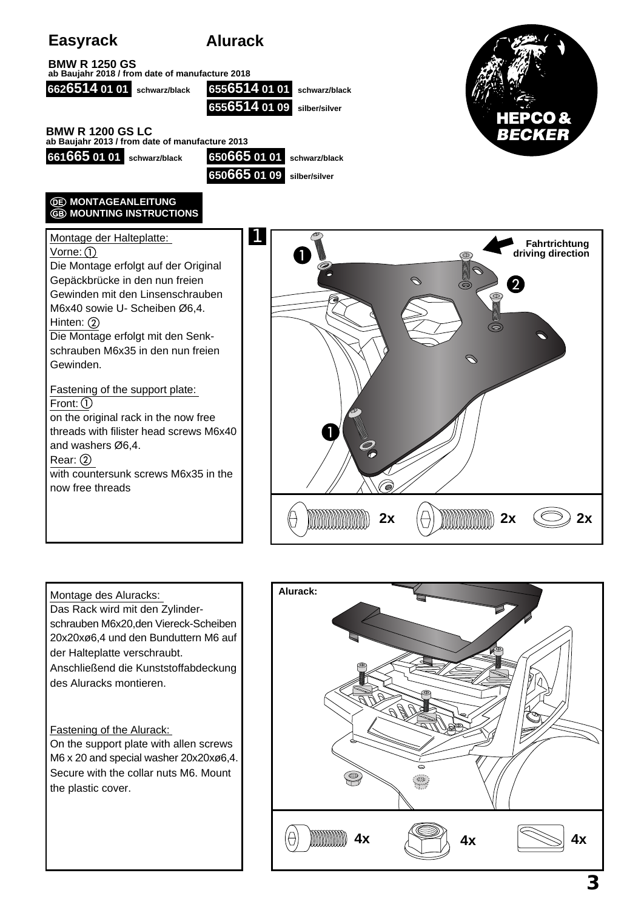# **Easyrack Alurack**





On the support plate with allen screws M6 x 20 and special washer 20x20xø6,4. Secure with the collar nuts M6. Mount the plastic cover.